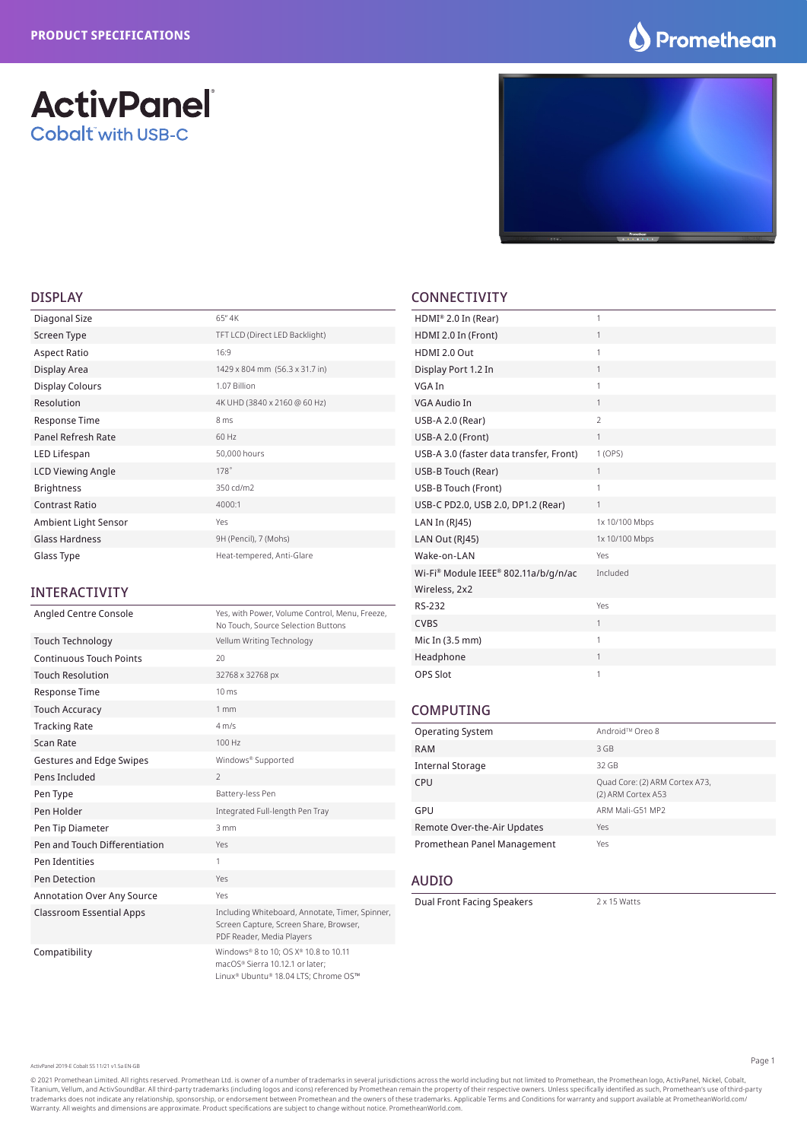

## **ActivPanel** Cobalt with USB-C



#### DISPLAY

| Diagonal Size            | 65" 4K                         |
|--------------------------|--------------------------------|
| Screen Type              | TFT LCD (Direct LED Backlight) |
| <b>Aspect Ratio</b>      | 16:9                           |
| Display Area             | 1429 x 804 mm (56.3 x 31.7 in) |
| <b>Display Colours</b>   | 1.07 Billion                   |
| Resolution               | 4K UHD (3840 x 2160 @ 60 Hz)   |
| Response Time            | 8 <sub>ms</sub>                |
| Panel Refresh Rate       | 60 Hz                          |
| LED Lifespan             | 50,000 hours                   |
| <b>LCD Viewing Angle</b> | 178°                           |
| <b>Brightness</b>        | 350 cd/m2                      |
| <b>Contrast Ratio</b>    | 4000:1                         |
| Ambient Light Sensor     | Yes                            |
| Glass Hardness           | 9H (Pencil), 7 (Mohs)          |
| Glass Type               | Heat-tempered, Anti-Glare      |

#### INTERACTIVITY

| Angled Centre Console             | Yes, with Power, Volume Control, Menu, Freeze,<br>No Touch, Source Selection Buttons                                   |
|-----------------------------------|------------------------------------------------------------------------------------------------------------------------|
| <b>Touch Technology</b>           | Vellum Writing Technology                                                                                              |
| <b>Continuous Touch Points</b>    | 20                                                                                                                     |
| <b>Touch Resolution</b>           | 32768 x 32768 px                                                                                                       |
| Response Time                     | 10 <sub>ms</sub>                                                                                                       |
| <b>Touch Accuracy</b>             | 1 <sub>mm</sub>                                                                                                        |
| <b>Tracking Rate</b>              | 4 m/s                                                                                                                  |
| Scan Rate                         | 100 Hz                                                                                                                 |
| Gestures and Edge Swipes          | Windows® Supported                                                                                                     |
| Pens Included                     | $\mathfrak{D}$                                                                                                         |
| Pen Type                          | Battery-less Pen                                                                                                       |
| Pen Holder                        | Integrated Full-length Pen Tray                                                                                        |
| Pen Tip Diameter                  | 3 mm                                                                                                                   |
| Pen and Touch Differentiation     | Yes                                                                                                                    |
| Pen Identities                    | 1                                                                                                                      |
| Pen Detection                     | Yes                                                                                                                    |
| <b>Annotation Over Any Source</b> | Yes                                                                                                                    |
| <b>Classroom Essential Apps</b>   | Including Whiteboard, Annotate, Timer, Spinner,<br>Screen Capture, Screen Share, Browser,<br>PDF Reader, Media Players |
| Compatibility                     | Windows® 8 to 10; OS X® 10.8 to 10.11<br>macOS® Sierra 10.12.1 or later;                                               |

Linux® Ubuntu® 18.04 LTS; Chrome OS™

#### CONNECTIVITY

| HDMI® 2.0 In (Rear)                     | 1              |
|-----------------------------------------|----------------|
| HDMI 2.0 In (Front)                     | $\mathbf{1}$   |
| HDMI 2.0 Out                            | 1              |
| Display Port 1.2 In                     | $\mathbf{1}$   |
| VGA In                                  | 1              |
| VGA Audio In                            | $\mathbf{1}$   |
| USB-A 2.0 (Rear)                        | $\overline{2}$ |
| USB-A 2.0 (Front)                       | 1              |
| USB-A 3.0 (faster data transfer, Front) | 1 (OPS)        |
| USB-B Touch (Rear)                      | $\mathbf{1}$   |
| USB-B Touch (Front)                     | 1              |
| USB-C PD2.0, USB 2.0, DP1.2 (Rear)      | 1              |
| LAN In (RJ45)                           | 1x 10/100 Mbps |
| LAN Out (RJ45)                          | 1x 10/100 Mbps |
| Wake-on-LAN                             | Yes            |
| Wi-Fi® Module IEEE® 802.11a/b/g/n/ac    | Included       |
| Wireless, 2x2                           |                |
| RS-232                                  | Yes            |
| <b>CVBS</b>                             | $\mathbf{1}$   |
| Mic In (3.5 mm)                         | 1              |
| Headphone                               | $\mathbf{1}$   |
| OPS Slot                                | 1              |

#### COMPUTING

| <b>Operating System</b>     | Android™ Oreo 8                                      |
|-----------------------------|------------------------------------------------------|
| <b>RAM</b>                  | 3 GB                                                 |
| <b>Internal Storage</b>     | 32 GB                                                |
| CPU                         | Quad Core: (2) ARM Cortex A73,<br>(2) ARM Cortex A53 |
| GPU                         | ARM Mali-G51 MP2                                     |
| Remote Over-the-Air Updates | Yes                                                  |
| Promethean Panel Management | Yes                                                  |

#### AUDIO

Dual Front Facing Speakers 2 x 15 Watts

ActivPanel 2019-E Cobalt SS 11/21 v1.5a EN-GB

© 2021 Promethean Limited. All rights reserved. Promethean Ltd. is owner of a number of trademarks in several jurisdictions across the world including but not limited to Promethean, the Promethean logo, ActivPanel, Nickel, Titanium, Vellum, and ActivSoundBar. All third-party trademarks (including logos and icons) referenced by Promethean remain the property of their respective owners. Unless specifically identified as such, Promethean's use Warranty. All weights and dimensions are approximate. Product specifications are subject to change without notice. PrometheanWorld.com.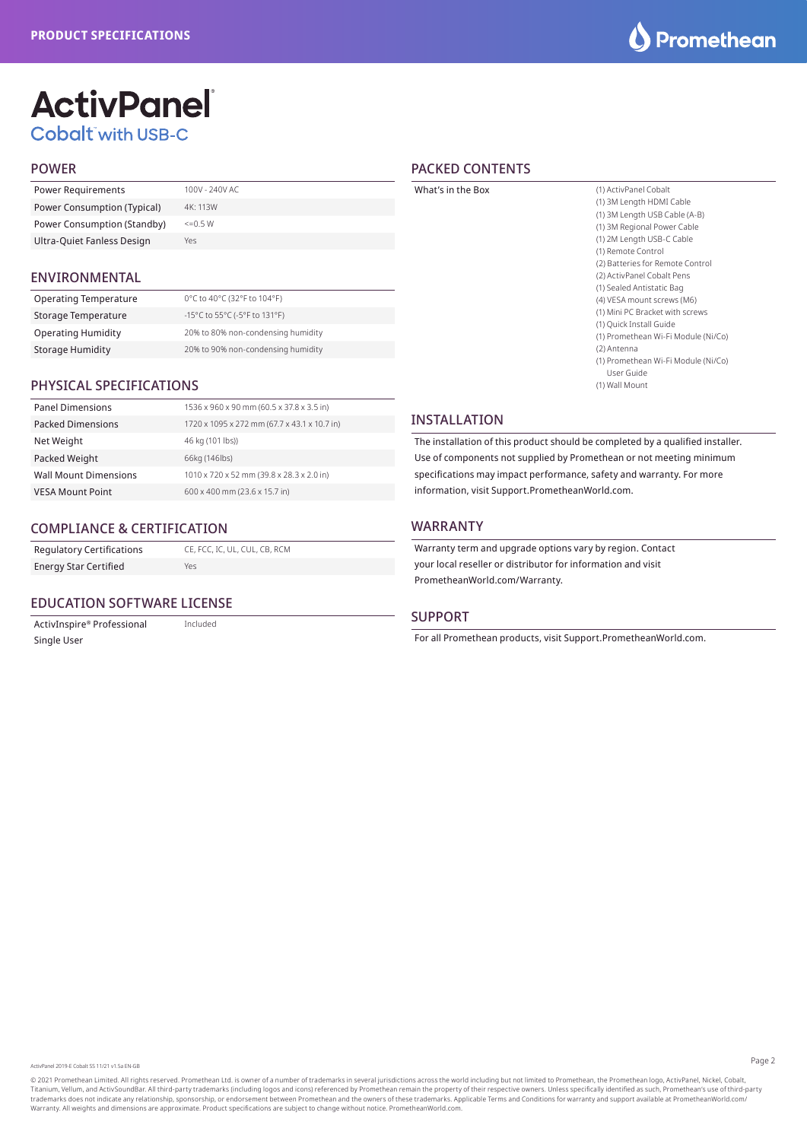## **ActivPanel** Cobalt with USB-C

#### POWER

| <b>Power Requirements</b>   | 100V - 240V AC |
|-----------------------------|----------------|
| Power Consumption (Typical) | 4K: 113W       |
| Power Consumption (Standby) | $\leq$ = 0.5 W |
| Ultra-Quiet Fanless Design  | Yes            |

#### ENVIRONMENTAL

| <b>Operating Temperature</b> | 0°C to 40°C (32°F to 104°F)        |
|------------------------------|------------------------------------|
| Storage Temperature          | -15°C to 55°C (-5°F to 131°F)      |
| <b>Operating Humidity</b>    | 20% to 80% non-condensing humidity |
| <b>Storage Humidity</b>      | 20% to 90% non-condensing humidity |

#### PHYSICAL SPECIFICATIONS

| 1536 x 960 x 90 mm (60.5 x 37.8 x 3.5 in)    |
|----------------------------------------------|
| 1720 x 1095 x 272 mm (67.7 x 43.1 x 10.7 in) |
| 46 kg (101 lbs))                             |
| 66kg (146lbs)                                |
| 1010 x 720 x 52 mm (39.8 x 28.3 x 2.0 in)    |
| 600 x 400 mm (23.6 x 15.7 in)                |
|                                              |

#### COMPLIANCE & CERTIFICATION

Regulatory Certifications CE, FCC, IC, UL, CUL, CB, RCM Energy Star Certified Yes

#### EDUCATION SOFTWARE LICENSE

ActivInspire® Professional Single User Included

#### PACKED CONTENTS

|                                  | What's in the Box | (1) ActivPanel Cobalt               |
|----------------------------------|-------------------|-------------------------------------|
|                                  |                   | (1) 3M Length HDMI Cable            |
|                                  |                   | (1) 3M Length USB Cable (A-B)       |
|                                  |                   | (1) 3M Regional Power Cable         |
|                                  |                   | (1) 2M Length USB-C Cable           |
|                                  |                   | (1) Remote Control                  |
|                                  |                   | (2) Batteries for Remote Control    |
|                                  |                   | (2) ActivPanel Cobalt Pens          |
|                                  |                   | (1) Sealed Antistatic Bag           |
| )4°F)                            |                   | (4) VESA mount screws (M6)          |
| $31^{\circ}$ F)                  |                   | (1) Mini PC Bracket with screws     |
|                                  |                   | (1) Quick Install Guide             |
| ensing humidity                  |                   | (1) Promethean Wi-Fi Module (Ni/Co) |
| ensing humidity                  |                   | (2) Antenna                         |
|                                  |                   | (1) Promethean Wi-Fi Module (Ni/Co) |
|                                  |                   | User Guide                          |
|                                  |                   | (1) Wall Mount                      |
| $0.5 \times 37.8 \times 3.5$ in) |                   |                                     |
|                                  | INICTALI ATIONI   |                                     |

#### INSTALLATION

The installation of this product should be completed by a qualified installer. Use of components not supplied by Promethean or not meeting minimum specifications may impact performance, safety and warranty. For more information, visit Support.PrometheanWorld.com.

#### WARRANTY

Warranty term and upgrade options vary by region. Contact your local reseller or distributor for information and visit PrometheanWorld.com/Warranty.

#### SUPPORT

For all Promethean products, visit Support.PrometheanWorld.com.

© 2021 Promethean Limited. All rights reserved. Promethean Ltd. is owner of a number of trademarks in several jurisdictions across the world including but not limited to Promethean, the Promethean, the Promethean logo, Act Titanium, Vellum, and ActivSoundBar. All third-party trademarks (including logos and icons) referenced by Promethean remain the property of their respective owners. Unless specifically identified as such, Promethean's use Warranty. All weights and dimensions are approximate. Product specifications are subject to change without notice. PrometheanWorld.com.